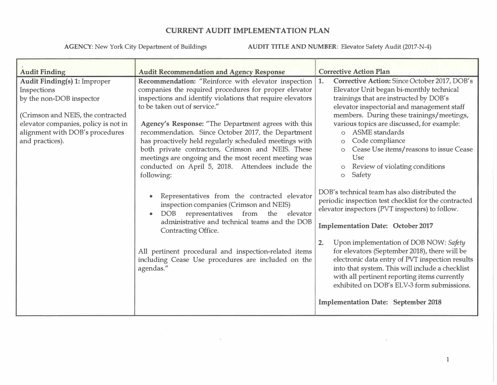**AGENCY:** New York City Department of Buildings **AUDIT TITLE AND NUMBER:** Elevator Safety Audit (2017-N-4)

| <b>Audit Finding</b>                                                                                                                                                                                              | <b>Audit Recommendation and Agency Response</b>                                                                                                                                                                                                                                                                                                                                                                                                                                                                                                     | <b>Corrective Action Plan</b>                                                                                                                                                                                                                                                                                                                                                                                                                                                                                                                                                 |  |  |
|-------------------------------------------------------------------------------------------------------------------------------------------------------------------------------------------------------------------|-----------------------------------------------------------------------------------------------------------------------------------------------------------------------------------------------------------------------------------------------------------------------------------------------------------------------------------------------------------------------------------------------------------------------------------------------------------------------------------------------------------------------------------------------------|-------------------------------------------------------------------------------------------------------------------------------------------------------------------------------------------------------------------------------------------------------------------------------------------------------------------------------------------------------------------------------------------------------------------------------------------------------------------------------------------------------------------------------------------------------------------------------|--|--|
| <b>Audit Finding(s) 1: Improper</b><br>Inspections<br>by the non-DOB inspector<br>(Crimson and NEIS, the contracted<br>elevator companies, policy is not in<br>alignment with DOB's procedures<br>and practices). | Recommendation: "Reinforce with elevator inspection<br>companies the required procedures for proper elevator<br>inspections and identify violations that require elevators<br>to be taken out of service."<br>Agency's Response: "The Department agrees with this<br>recommendation. Since October 2017, the Department<br>has proactively held regularly scheduled meetings with<br>both private contractors, Crimson and NEIS. These<br>meetings are ongoing and the most recent meeting was<br>conducted on April 5, 2018. Attendees include the | Corrective Action: Since October 2017, DOB's<br>1.<br>Elevator Unit began bi-monthly technical<br>trainings that are instructed by DOB's<br>elevator inspectorial and management staff<br>members. During these trainings/meetings,<br>various topics are discussed, for example:<br>ASME standards<br>$\Omega$<br>Code compliance<br>$\circ$<br>Cease Use items/reasons to issue Cease<br><b>Use</b><br>Review of violating conditions<br>$\circ$                                                                                                                            |  |  |
|                                                                                                                                                                                                                   | following:<br>Representatives from the contracted elevator<br>inspection companies (Crimson and NEIS)<br>DOB representatives from the elevator<br>administrative and technical teams and the DOB<br><b>Contracting Office.</b><br>All pertinent procedural and inspection-related items<br>including Cease Use procedures are included on the<br>agendas."                                                                                                                                                                                          | Safety<br>$\circ$<br>DOB's technical team has also distributed the<br>periodic inspection test checklist for the contracted<br>elevator inspectors (PVT inspectors) to follow.<br><b>Implementation Date: October 2017</b><br>Upon implementation of DOB NOW: Safety<br>2.<br>for elevators (September 2018), there will be<br>electronic data entry of PVT inspection results<br>into that system. This will include a checklist<br>with all pertinent reporting items currently<br>exhibited on DOB's ELV-3 form submissions.<br><b>Implementation Date: September 2018</b> |  |  |

 $22^\circ$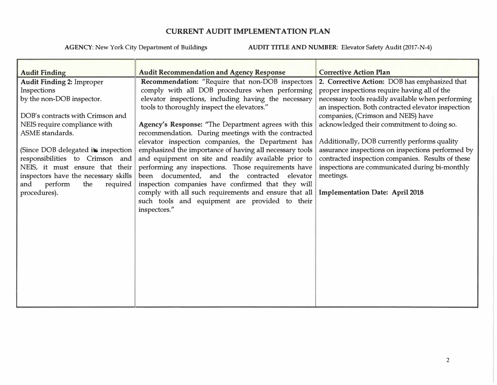| <b>Audit Finding</b>                 | <b>Audit Recommendation and Agency Response</b>                                                   | <b>Corrective Action Plan</b>                     |  |  |
|--------------------------------------|---------------------------------------------------------------------------------------------------|---------------------------------------------------|--|--|
| <b>Audit Finding 2: Improper</b>     | Recommendation: "Require that non-DOB inspectors                                                  | 2. Corrective Action: DOB has emphasized that     |  |  |
| Inspections                          | comply with all DOB procedures when performing                                                    | proper inspections require having all of the      |  |  |
| by the non-DOB inspector.            | elevator inspections, including having the necessary                                              | necessary tools readily available when performing |  |  |
|                                      | tools to thoroughly inspect the elevators."<br>an inspection. Both contracted elevator inspection |                                                   |  |  |
| DOB's contracts with Crimson and     |                                                                                                   | companies, (Crimson and NEIS) have                |  |  |
| NEIS require compliance with         | Agency's Response: "The Department agrees with this                                               | acknowledged their commitment to doing so.        |  |  |
| ASME standards.                      | recommendation. During meetings with the contracted                                               |                                                   |  |  |
|                                      | elevator inspection companies, the Department has                                                 | Additionally, DOB currently performs quality      |  |  |
| (Since DOB delegated its inspection  | emphasized the importance of having all necessary tools                                           | assurance inspections on inspections performed by |  |  |
| responsibilities to Crimson and      | and equipment on site and readily available prior to                                              | contracted inspection companies. Results of these |  |  |
| NEIS, it must ensure that their      | performing any inspections. Those requirements have                                               | inspections are communicated during bi-monthly    |  |  |
| inspectors have the necessary skills | been documented, and the contracted elevator                                                      | meetings.                                         |  |  |
| perform<br>the<br>and<br>required    | inspection companies have confirmed that they will                                                |                                                   |  |  |
| procedures).                         | comply with all such requirements and ensure that all                                             | <b>Implementation Date: April 2018</b>            |  |  |
|                                      | such tools and equipment are provided to their                                                    |                                                   |  |  |
|                                      | inspectors."                                                                                      |                                                   |  |  |
|                                      |                                                                                                   |                                                   |  |  |
|                                      |                                                                                                   |                                                   |  |  |
|                                      |                                                                                                   |                                                   |  |  |
|                                      |                                                                                                   |                                                   |  |  |
|                                      |                                                                                                   |                                                   |  |  |
|                                      |                                                                                                   |                                                   |  |  |
|                                      |                                                                                                   |                                                   |  |  |
|                                      |                                                                                                   |                                                   |  |  |
|                                      |                                                                                                   |                                                   |  |  |
|                                      |                                                                                                   |                                                   |  |  |
|                                      |                                                                                                   |                                                   |  |  |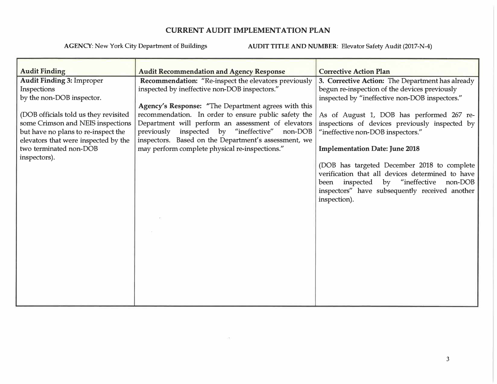| <b>Audit Finding</b>                  | <b>Audit Recommendation and Agency Response</b>             | <b>Corrective Action Plan</b>                                                                                                                                                                               |
|---------------------------------------|-------------------------------------------------------------|-------------------------------------------------------------------------------------------------------------------------------------------------------------------------------------------------------------|
| <b>Audit Finding 3: Improper</b>      | <b>Recommendation:</b> "Re-inspect the elevators previously | 3. Corrective Action: The Department has already                                                                                                                                                            |
| Inspections                           | inspected by ineffective non-DOB inspectors."               | begun re-inspection of the devices previously                                                                                                                                                               |
| by the non-DOB inspector.             |                                                             | inspected by "ineffective non-DOB inspectors."                                                                                                                                                              |
|                                       | Agency's Response: "The Department agrees with this         |                                                                                                                                                                                                             |
| (DOB officials told us they revisited | recommendation. In order to ensure public safety the        | As of August 1, DOB has performed 267 re-                                                                                                                                                                   |
| some Crimson and NEIS inspections     | Department will perform an assessment of elevators          | inspections of devices previously inspected by                                                                                                                                                              |
| but have no plans to re-inspect the   | previously inspected by "ineffective" non-DOB               | "ineffective non-DOB inspectors."                                                                                                                                                                           |
| elevators that were inspected by the  | inspectors. Based on the Department's assessment, we        |                                                                                                                                                                                                             |
| two terminated non-DOB                | may perform complete physical re-inspections."              | <b>Implementation Date: June 2018</b>                                                                                                                                                                       |
| inspectors).                          |                                                             | (DOB has targeted December 2018 to complete<br>verification that all devices determined to have<br>been inspected by "ineffective non-DOB<br>inspectors" have subsequently received another<br>inspection). |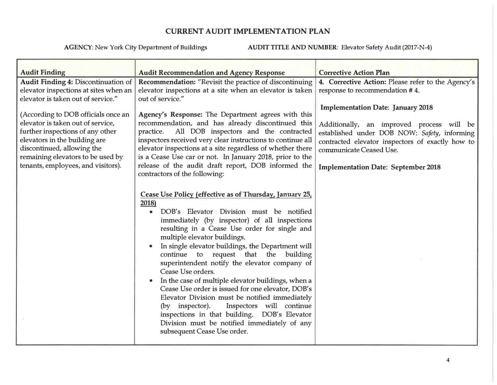| <b>Audit Finding</b>                                                                                                                                                                                                                                   | <b>Audit Recommendation and Agency Response</b>                                                                                                                                                                                                                                                                                                                                                                                                                                                                                                                                                                                                                                                                                                                                         | <b>Corrective Action Plan</b>                                                                                                                                                                                                                                      |
|--------------------------------------------------------------------------------------------------------------------------------------------------------------------------------------------------------------------------------------------------------|-----------------------------------------------------------------------------------------------------------------------------------------------------------------------------------------------------------------------------------------------------------------------------------------------------------------------------------------------------------------------------------------------------------------------------------------------------------------------------------------------------------------------------------------------------------------------------------------------------------------------------------------------------------------------------------------------------------------------------------------------------------------------------------------|--------------------------------------------------------------------------------------------------------------------------------------------------------------------------------------------------------------------------------------------------------------------|
| <b>Audit Finding 4: Discontinuation of</b>                                                                                                                                                                                                             | Recommendation: "Revisit the practice of discontinuing                                                                                                                                                                                                                                                                                                                                                                                                                                                                                                                                                                                                                                                                                                                                  | 4. Corrective Action: Please refer to the Agency's                                                                                                                                                                                                                 |
| elevator inspections at sites when an                                                                                                                                                                                                                  | elevator inspections at a site when an elevator is taken                                                                                                                                                                                                                                                                                                                                                                                                                                                                                                                                                                                                                                                                                                                                | response to recommendation #4.                                                                                                                                                                                                                                     |
| elevator is taken out of service."                                                                                                                                                                                                                     | out of service."                                                                                                                                                                                                                                                                                                                                                                                                                                                                                                                                                                                                                                                                                                                                                                        |                                                                                                                                                                                                                                                                    |
| (According to DOB officials once an<br>elevator is taken out of service,<br>further inspections of any other<br>elevators in the building are<br>discontinued, allowing the<br>remaining elevators to be used by<br>tenants, employees, and visitors). | Agency's Response: The Department agrees with this<br>recommendation, and has already discontinued this<br>All DOB inspectors and the contracted<br>practice.<br>inspectors received very clear instructions to continue all<br>elevator inspections at a site regardless of whether there<br>is a Cease Use car or not. In January 2018, prior to the<br>release of the audit draft report, DOB informed the<br>contractors of the following:                                                                                                                                                                                                                                                                                                                                          | <b>Implementation Date: January 2018</b><br>Additionally, an improved process will be<br>established under DOB NOW: Safety, informing<br>contracted elevator inspectors of exactly how to<br>communicate Ceased Use.<br><b>Implementation Date: September 2018</b> |
|                                                                                                                                                                                                                                                        | Cease Use Policy (effective as of Thursday, January 25,<br>2018)<br>DOB's Elevator Division must be notified<br>$\bullet$<br>immediately (by inspector) of all inspections<br>resulting in a Cease Use order for single and<br>multiple elevator buildings.<br>In single elevator buildings, the Department will<br>continue to request that the building<br>superintendent notify the elevator company of<br>Cease Use orders.<br>In the case of multiple elevator buildings, when a<br>$\bullet$<br>Cease Use order is issued for one elevator, DOB's<br>Elevator Division must be notified immediately<br>Inspectors will continue<br>(by inspector).<br>inspections in that building. DOB's Elevator<br>Division must be notified immediately of any<br>subsequent Cease Use order. |                                                                                                                                                                                                                                                                    |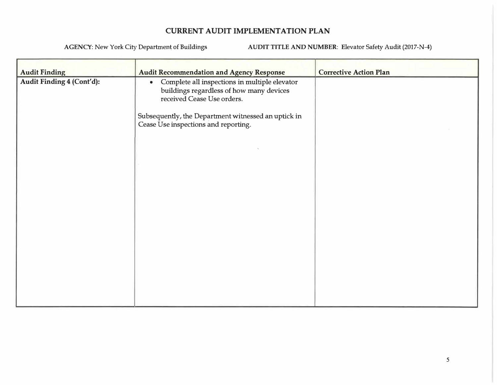| <b>Audit Finding</b><br>Audit Finding 4 (Cont'd): | <b>Audit Recommendation and Agency Response</b><br>• Complete all inspections in multiple elevator<br>buildings regardless of how many devices<br>received Cease Use orders.<br>Subsequently, the Department witnessed an uptick in<br>Cease Use inspections and reporting. | <b>Corrective Action Plan</b> |
|---------------------------------------------------|-----------------------------------------------------------------------------------------------------------------------------------------------------------------------------------------------------------------------------------------------------------------------------|-------------------------------|
|                                                   |                                                                                                                                                                                                                                                                             |                               |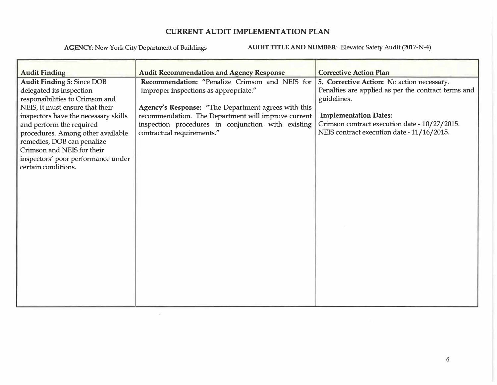$\mathcal{L}_{\rm{c}}$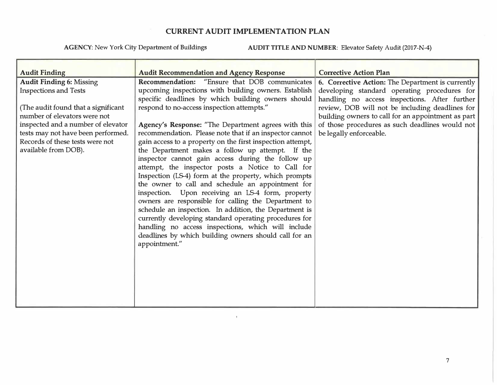**AGENCY:** New York City Department of Buildings **AUDIT TITLE AND NUMBER:** Elevator Safety Audit (2017-N-4)

| <b>Audit Finding</b><br><b>Audit Finding 6: Missing</b><br><b>Inspections and Tests</b><br>(The audit found that a significant<br>number of elevators were not<br>inspected and a number of elevator<br>tests may not have been performed.<br>Records of these tests were not<br>available from DOB). | <b>Audit Recommendation and Agency Response</b><br>Recommendation: "Ensure that DOB communicates<br>upcoming inspections with building owners. Establish<br>specific deadlines by which building owners should<br>respond to no-access inspection attempts."<br>Agency's Response: "The Department agrees with this<br>recommendation. Please note that if an inspector cannot<br>gain access to a property on the first inspection attempt,<br>the Department makes a follow up attempt. If the<br>inspector cannot gain access during the follow up<br>attempt, the inspector posts a Notice to Call for<br>Inspection (LS-4) form at the property, which prompts<br>the owner to call and schedule an appointment for<br>inspection. Upon receiving an LS-4 form, property<br>owners are responsible for calling the Department to<br>schedule an inspection. In addition, the Department is<br>currently developing standard operating procedures for<br>handling no access inspections, which will include<br>deadlines by which building owners should call for an<br>appointment." | <b>Corrective Action Plan</b><br>6. Corrective Action: The Department is currently<br>developing standard operating procedures for<br>handling no access inspections. After further<br>review, DOB will not be including deadlines for<br>building owners to call for an appointment as part<br>of those procedures as such deadlines would not<br>be legally enforceable. |  |
|-------------------------------------------------------------------------------------------------------------------------------------------------------------------------------------------------------------------------------------------------------------------------------------------------------|-------------------------------------------------------------------------------------------------------------------------------------------------------------------------------------------------------------------------------------------------------------------------------------------------------------------------------------------------------------------------------------------------------------------------------------------------------------------------------------------------------------------------------------------------------------------------------------------------------------------------------------------------------------------------------------------------------------------------------------------------------------------------------------------------------------------------------------------------------------------------------------------------------------------------------------------------------------------------------------------------------------------------------------------------------------------------------------------|----------------------------------------------------------------------------------------------------------------------------------------------------------------------------------------------------------------------------------------------------------------------------------------------------------------------------------------------------------------------------|--|
|                                                                                                                                                                                                                                                                                                       |                                                                                                                                                                                                                                                                                                                                                                                                                                                                                                                                                                                                                                                                                                                                                                                                                                                                                                                                                                                                                                                                                           |                                                                                                                                                                                                                                                                                                                                                                            |  |

 $\mathcal{M}$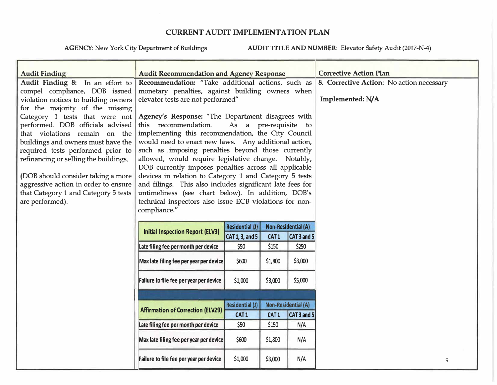| <b>Audit Finding</b>                  | <b>Audit Recommendation and Agency Response</b>                                    |                       |                  | <b>Corrective Action Plan</b> |                                           |
|---------------------------------------|------------------------------------------------------------------------------------|-----------------------|------------------|-------------------------------|-------------------------------------------|
| Audit Finding 8: In an effort to      | Recommendation: "Take additional actions, such as                                  |                       |                  |                               | 8. Corrective Action: No action necessary |
| compel compliance, DOB issued         | monetary penalties, against building owners when                                   |                       |                  |                               |                                           |
| violation notices to building owners  | elevator tests are not performed"                                                  |                       |                  |                               | Implemented: N/A                          |
| for the majority of the missing       |                                                                                    |                       |                  |                               |                                           |
| Category 1 tests that were not        | Agency's Response: "The Department disagrees with                                  |                       |                  |                               |                                           |
| performed. DOB officials advised      | this recommendation.                                                               | As a pre-requisite to |                  |                               |                                           |
| that violations remain on the         | implementing this recommendation, the City Council                                 |                       |                  |                               |                                           |
| buildings and owners must have the    | would need to enact new laws. Any additional action,                               |                       |                  |                               |                                           |
| required tests performed prior to     | such as imposing penalties beyond those currently                                  |                       |                  |                               |                                           |
| refinancing or selling the buildings. | allowed, would require legislative change. Notably,                                |                       |                  |                               |                                           |
|                                       | DOB currently imposes penalties across all applicable                              |                       |                  |                               |                                           |
| (DOB should consider taking a more    | devices in relation to Category 1 and Category 5 tests                             |                       |                  |                               |                                           |
| aggressive action in order to ensure  | and filings. This also includes significant late fees for                          |                       |                  |                               |                                           |
| that Category 1 and Category 5 tests  | untimeliness (see chart below). In addition, DOB's                                 |                       |                  |                               |                                           |
| are performed).                       | technical inspectors also issue ECB violations for non-                            |                       |                  |                               |                                           |
|                                       | compliance."                                                                       |                       |                  |                               |                                           |
|                                       |                                                                                    |                       |                  |                               |                                           |
|                                       | Residential (J)<br>Non-Residential (A)<br><b>Initial Inspection Report (ELV3)</b>  |                       |                  |                               |                                           |
|                                       |                                                                                    | CAT 1, 3, and 5       | CAT1             | CAT 3 and 5                   |                                           |
|                                       | Late filing fee per month per device                                               | \$50                  | \$150            | \$250                         |                                           |
|                                       | Max late filing fee per year per device                                            | \$600                 | \$1,800          | \$3,000                       |                                           |
|                                       |                                                                                    |                       |                  |                               |                                           |
|                                       | Failure to file fee per year per device                                            | \$1,000               | \$3,000          | \$5,000                       |                                           |
|                                       |                                                                                    |                       |                  |                               |                                           |
|                                       |                                                                                    |                       |                  |                               |                                           |
|                                       | Non-Residential (A)<br>Residential (J)<br><b>Affirmation of Correction (ELV29)</b> |                       |                  |                               |                                           |
|                                       |                                                                                    | CAT <sub>1</sub>      | CAT <sub>1</sub> | CAT 3 and 5                   |                                           |
|                                       | Late filing fee per month per device                                               | \$50                  | \$150            | N/A                           |                                           |
|                                       | Max late filing fee per year per device                                            | \$600                 | \$1,800          | N/A                           |                                           |
|                                       |                                                                                    |                       |                  |                               |                                           |
|                                       | Failure to file fee per year per device                                            | \$1,000               | \$3,000          | N/A                           | 9                                         |